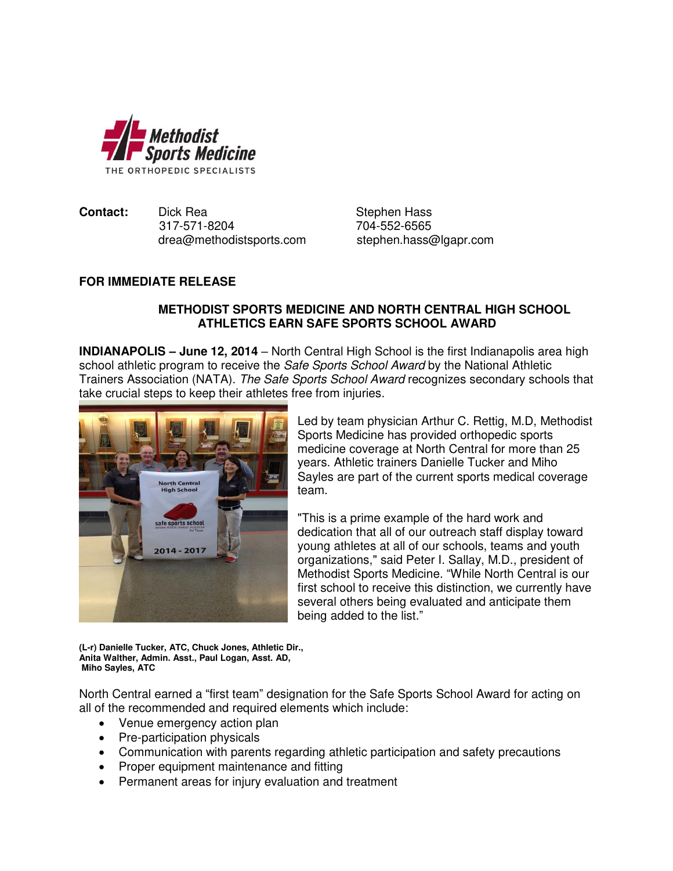

**Contact:** Dick Rea Stephen Hass 317-571-8204 704-552-6565 [drea@methodistsports.com](mailto:drea@methodistsports.com) stephen.hass@lgapr.com

## **FOR IMMEDIATE RELEASE**

## **METHODIST SPORTS MEDICINE AND NORTH CENTRAL HIGH SCHOOL ATHLETICS EARN SAFE SPORTS SCHOOL AWARD**

**INDIANAPOLIS – June 12, 2014** – North Central High School is the first Indianapolis area high school athletic program to receive the *Safe Sports School Award* by the National Athletic Trainers Association (NATA). The Safe Sports School Award recognizes secondary schools that take crucial steps to keep their athletes free from injuries.



Led by team physician Arthur C. Rettig, M.D, Methodist Sports Medicine has provided orthopedic sports medicine coverage at North Central for more than 25 years. Athletic trainers Danielle Tucker and Miho Sayles are part of the current sports medical coverage team.

"This is a prime example of the hard work and dedication that all of our outreach staff display toward young athletes at all of our schools, teams and youth organizations," said Peter I. Sallay, M.D., president of Methodist Sports Medicine. "While North Central is our first school to receive this distinction, we currently have several others being evaluated and anticipate them being added to the list."

**(L-r) Danielle Tucker, ATC, Chuck Jones, Athletic Dir., Anita Walther, Admin. Asst., Paul Logan, Asst. AD, Miho Sayles, ATC** 

North Central earned a "first team" designation for the Safe Sports School Award for acting on all of the recommended and required elements which include:

- Venue emergency action plan
- Pre-participation physicals
- Communication with parents regarding athletic participation and safety precautions
- Proper equipment maintenance and fitting
- Permanent areas for injury evaluation and treatment